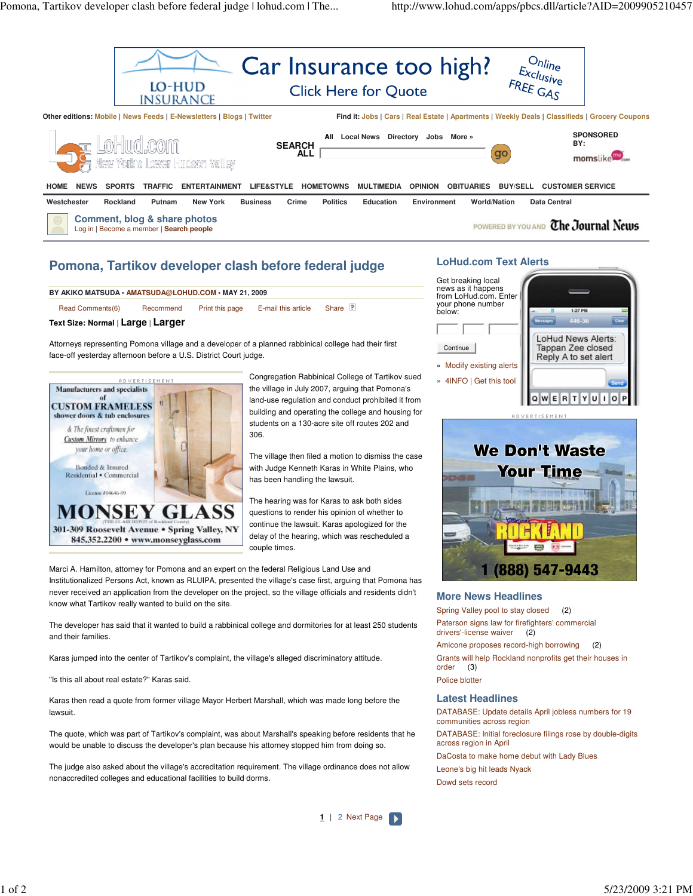

# **Pomona, Tartikov developer clash before federal judge**

Read Comments(6) Recommend Print this page E-mail this article Share **BY AKIKO MATSUDA • AMATSUDA@LOHUD.COM • MAY 21, 2009**

## **Text Size: Normal** | **Large** | **Larger**

Attorneys representing Pomona village and a developer of a planned rabbinical college had their first face-off yesterday afternoon before a U.S. District Court judge.



Congregation Rabbinical College of Tartikov sued the village in July 2007, arguing that Pomona's land-use regulation and conduct prohibited it from building and operating the college and housing for students on a 130-acre site off routes 202 and 306.

The village then filed a motion to dismiss the case with Judge Kenneth Karas in White Plains, who has been handling the lawsuit.

The hearing was for Karas to ask both sides questions to render his opinion of whether to continue the lawsuit. Karas apologized for the delay of the hearing, which was rescheduled a couple times.

Marci A. Hamilton, attorney for Pomona and an expert on the federal Religious Land Use and Institutionalized Persons Act, known as RLUIPA, presented the village's case first, arguing that Pomona has never received an application from the developer on the project, so the village officials and residents didn't know what Tartikov really wanted to build on the site.

The developer has said that it wanted to build a rabbinical college and dormitories for at least 250 students and their families.

Karas jumped into the center of Tartikov's complaint, the village's alleged discriminatory attitude.

"Is this all about real estate?" Karas said.

Karas then read a quote from former village Mayor Herbert Marshall, which was made long before the lawsuit.

The quote, which was part of Tartikov's complaint, was about Marshall's speaking before residents that he would be unable to discuss the developer's plan because his attorney stopped him from doing so.

The judge also asked about the village's accreditation requirement. The village ordinance does not allow nonaccredited colleges and educational facilities to build dorms.

### **1** | 2 Next Page

### **LoHud.com Text Alerts**







#### **More News Headlines**

Spring Valley pool to stay closed (2) Paterson signs law for firefighters' commercial drivers'-license waiver (2)

Amicone proposes record-high borrowing (2) Grants will help Rockland nonprofits get their houses in order (3) Police blotter

# **Latest Headlines**

DATABASE: Update details April jobless numbers for 19 communities across region DATABASE: Initial foreclosure filings rose by double-digits across region in April DaCosta to make home debut with Lady Blues Leone's big hit leads Nyack

Dowd sets record